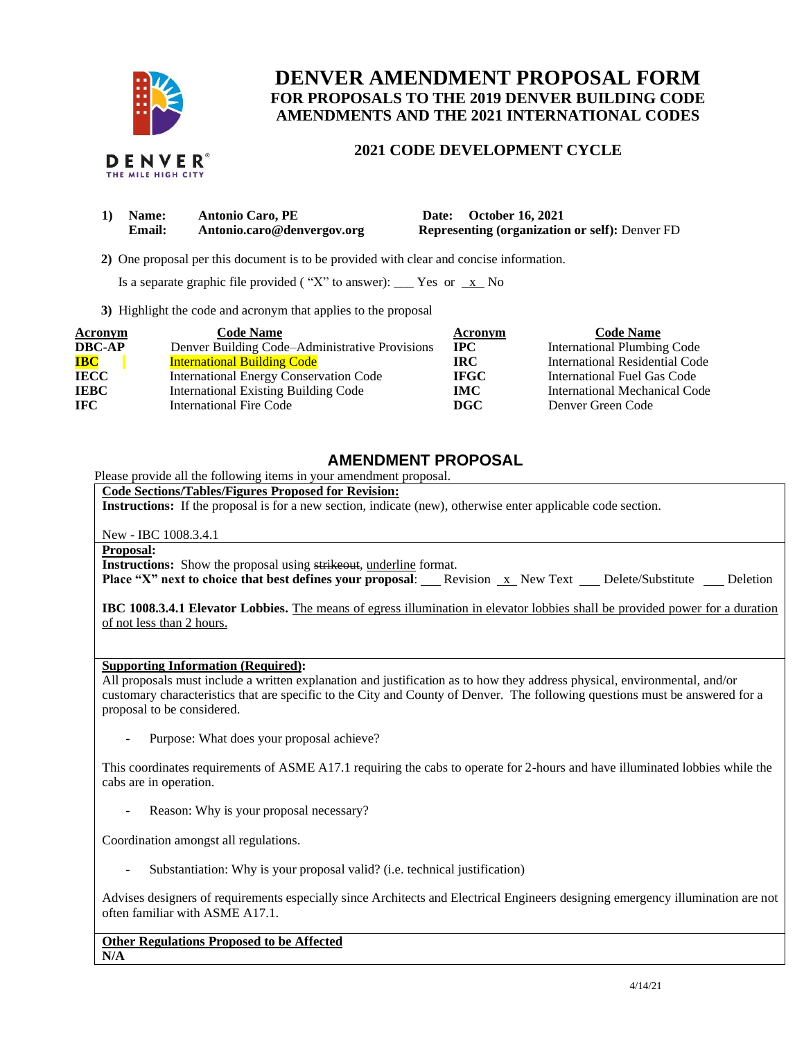

THE MILE HIGH CITY

## **DENVER AMENDMENT PROPOSAL FORM FOR PROPOSALS TO THE 2019 DENVER BUILDING CODE AMENDMENTS AND THE 2021 INTERNATIONAL CODES**

## **2021 CODE DEVELOPMENT CYCLE**

| 1) Name:      | <b>Antonio Caro, PE</b>    | Date: October 16, 2021                                |
|---------------|----------------------------|-------------------------------------------------------|
| <b>Email:</b> | Antonio.caro@denvergov.org | <b>Representing (organization or self): Denver FD</b> |

 **2)** One proposal per this document is to be provided with clear and concise information.

Is a separate graphic file provided ("X" to answer): \_\_\_ Yes or  $\overline{x}$  No

**3)** Highlight the code and acronym that applies to the proposal

| <b>Acronym</b> | <b>Code Name</b>                               | Acronym     | <b>Code Name</b>               |
|----------------|------------------------------------------------|-------------|--------------------------------|
| <b>DBC-AP</b>  | Denver Building Code-Administrative Provisions | <b>IPC</b>  | International Plumbing Code    |
| <b>IBC</b>     | <b>International Building Code</b>             | IRC.        | International Residential Code |
| <b>IECC</b>    | International Energy Conservation Code         | <b>IFGC</b> | International Fuel Gas Code    |
| <b>IEBC</b>    | <b>International Existing Building Code</b>    | <b>IMC</b>  | International Mechanical Code  |
| <b>IFC</b>     | <b>International Fire Code</b>                 | DGC         | Denver Green Code              |

## **AMENDMENT PROPOSAL**

Please provide all the following items in your amendment proposal.

**Code Sections/Tables/Figures Proposed for Revision:**

**Instructions:** If the proposal is for a new section, indicate (new), otherwise enter applicable code section.

New - IBC 1008.3.4.1

**Proposal:**

**Instructions:** Show the proposal using strikeout, underline format.

**Place "X" next to choice that best defines your proposal:** Revision x New Text Delete/Substitute Deletion

**IBC 1008.3.4.1 Elevator Lobbies.** The means of egress illumination in elevator lobbies shall be provided power for a duration of not less than 2 hours.

## **Supporting Information (Required):**

All proposals must include a written explanation and justification as to how they address physical, environmental, and/or customary characteristics that are specific to the City and County of Denver. The following questions must be answered for a proposal to be considered.

Purpose: What does your proposal achieve?

This coordinates requirements of ASME A17.1 requiring the cabs to operate for 2-hours and have illuminated lobbies while the cabs are in operation.

Reason: Why is your proposal necessary?

Coordination amongst all regulations.

Substantiation: Why is your proposal valid? (i.e. technical justification)

Advises designers of requirements especially since Architects and Electrical Engineers designing emergency illumination are not often familiar with ASME A17.1.

**Other Regulations Proposed to be Affected N/A**